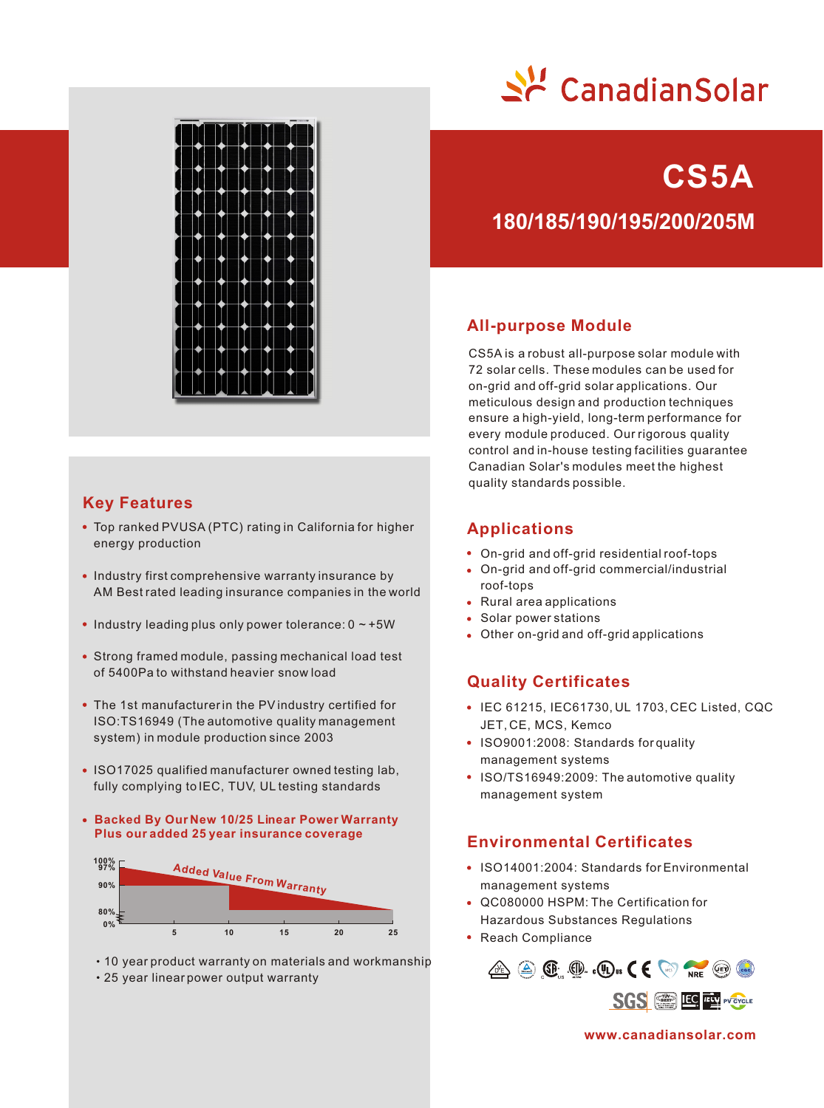

**CS5A**



# **Key Features**

- Top ranked PVUSA (PTC) rating in California for higher energy production
- Industry first comprehensive warranty insurance by AM Best rated leading insurance companies in the world
- $\bullet$  Industry leading plus only power tolerance:  $0 \sim +5W$
- Strong framed module, passing mechanical load test of 5400Pa to withstand heavier snow load
- The 1st manufacturer in the PV industry certified for ISO:TS16949 (The automotive quality management system) in module production since 2003
- ISO17025 qualified manufacturer owned testing lab, fully complying to IEC, TUV, UL testing standards
- **Backed By Our New 10/25 Linear Power Warranty Plus our added 25 year insurance coverage**



- 10 year product warranty on materials and workmanship
- 25 year linear power output warranty

**180/185/190/195/200/205M**

# **All-purpose Module**

CS5A is a robust all-purpose solar module with 72 solar cells. These modules can be used for on-grid and off-grid solar applications. Our meticulous design and production techniques ensure a high-yield, long-term performance for every module produced. Our rigorous quality control and in-house testing facilities guarantee Canadian Solar's modules meet the highest quality standards possible.

# **Applications**

- On-grid and off-grid residential roof-tops
- On-grid and off-grid commercial/industrial roof-tops
- Rural area applications
- Solar power stations
- Other on-grid and off-grid applications

# **Quality Certificates**

- IEC 61215, IEC61730, UL 1703, CEC Listed, CQC JET, CE, MCS, Kemco
- ISO9001:2008: Standards for quality management systems
- ISO/TS16949:2009: The automotive quality management system

# **Environmental Certificates**

- ISO14001:2004: Standards for Environmental management systems
- QC080000 HSPM: The Certification for Hazardous Substances Regulations
- Reach Compliance



**www.canadiansolar.com**